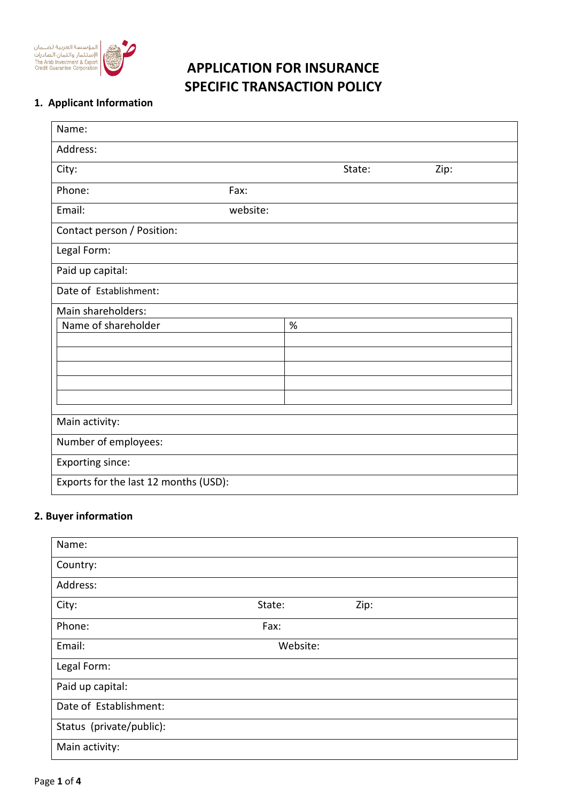

# **APPLICATION FOR INSURANCE SPECIFIC TRANSACTION POLICY**

### **1. Applicant Information**

| Name:                                 |          |      |        |      |  |
|---------------------------------------|----------|------|--------|------|--|
| Address:                              |          |      |        |      |  |
| City:                                 |          |      | State: | Zip: |  |
| Phone:                                | Fax:     |      |        |      |  |
| Email:                                | website: |      |        |      |  |
| Contact person / Position:            |          |      |        |      |  |
| Legal Form:                           |          |      |        |      |  |
| Paid up capital:                      |          |      |        |      |  |
| Date of Establishment:                |          |      |        |      |  |
| Main shareholders:                    |          |      |        |      |  |
| Name of shareholder                   |          | $\%$ |        |      |  |
|                                       |          |      |        |      |  |
|                                       |          |      |        |      |  |
|                                       |          |      |        |      |  |
|                                       |          |      |        |      |  |
|                                       |          |      |        |      |  |
| Main activity:                        |          |      |        |      |  |
| Number of employees:                  |          |      |        |      |  |
| Exporting since:                      |          |      |        |      |  |
| Exports for the last 12 months (USD): |          |      |        |      |  |

#### **2. Buyer information**

| Name:                    |          |      |
|--------------------------|----------|------|
| Country:                 |          |      |
| Address:                 |          |      |
| City:                    | State:   | Zip: |
| Phone:                   | Fax:     |      |
| Email:                   | Website: |      |
| Legal Form:              |          |      |
| Paid up capital:         |          |      |
| Date of Establishment:   |          |      |
| Status (private/public): |          |      |
| Main activity:           |          |      |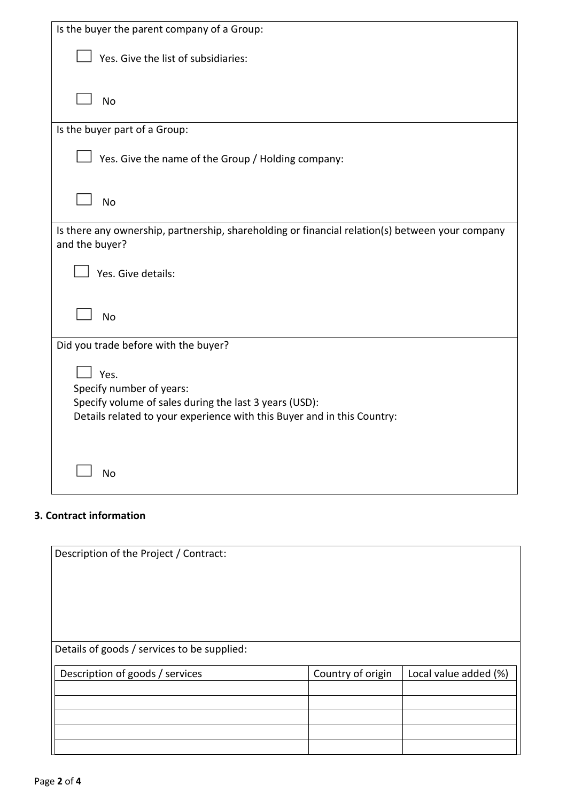| Is the buyer the parent company of a Group:                                                                       |
|-------------------------------------------------------------------------------------------------------------------|
| Yes. Give the list of subsidiaries:                                                                               |
| <b>No</b>                                                                                                         |
| Is the buyer part of a Group:                                                                                     |
| Yes. Give the name of the Group / Holding company:                                                                |
| <b>No</b>                                                                                                         |
| Is there any ownership, partnership, shareholding or financial relation(s) between your company<br>and the buyer? |
| Yes. Give details:                                                                                                |
| <b>No</b>                                                                                                         |
| Did you trade before with the buyer?                                                                              |
| Yes.<br>Specify number of years:                                                                                  |
| Specify volume of sales during the last 3 years (USD):                                                            |
| Details related to your experience with this Buyer and in this Country:                                           |
| <b>No</b>                                                                                                         |

## **3. Contract information**

Description of the Project / Contract: Details of goods / services to be supplied: Description of goods / services Country of origin | Local value added (%)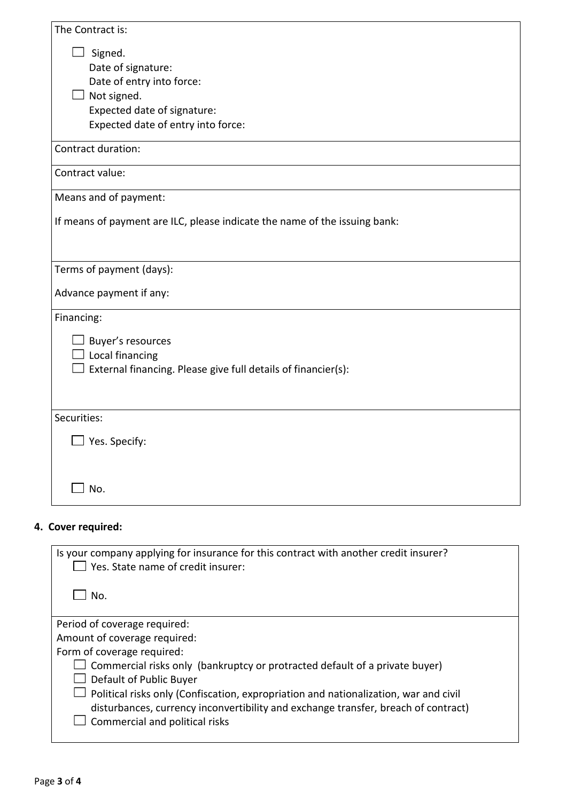| The Contract is:                                                           |
|----------------------------------------------------------------------------|
| Signed.                                                                    |
| Date of signature:                                                         |
| Date of entry into force:                                                  |
| Not signed.                                                                |
| Expected date of signature:                                                |
| Expected date of entry into force:                                         |
| Contract duration:                                                         |
| Contract value:                                                            |
| Means and of payment:                                                      |
| If means of payment are ILC, please indicate the name of the issuing bank: |
|                                                                            |
| Terms of payment (days):                                                   |
| Advance payment if any:                                                    |
| Financing:                                                                 |
| Buyer's resources                                                          |
| Local financing                                                            |
| External financing. Please give full details of financier(s):              |
|                                                                            |
| Securities:                                                                |
| Yes. Specify:                                                              |
|                                                                            |
|                                                                            |
| $\Box$ No.                                                                 |
|                                                                            |

## **4. Cover required:**

| Is your company applying for insurance for this contract with another credit insurer?<br>$\Box$ Yes. State name of credit insurer: |
|------------------------------------------------------------------------------------------------------------------------------------|
| No.                                                                                                                                |
| Period of coverage required:                                                                                                       |
| Amount of coverage required:                                                                                                       |
| Form of coverage required:                                                                                                         |
| Commercial risks only (bankruptcy or protracted default of a private buyer)                                                        |
| Default of Public Buyer                                                                                                            |
| Political risks only (Confiscation, expropriation and nationalization, war and civil                                               |
| disturbances, currency inconvertibility and exchange transfer, breach of contract)                                                 |
| Commercial and political risks                                                                                                     |
|                                                                                                                                    |
|                                                                                                                                    |